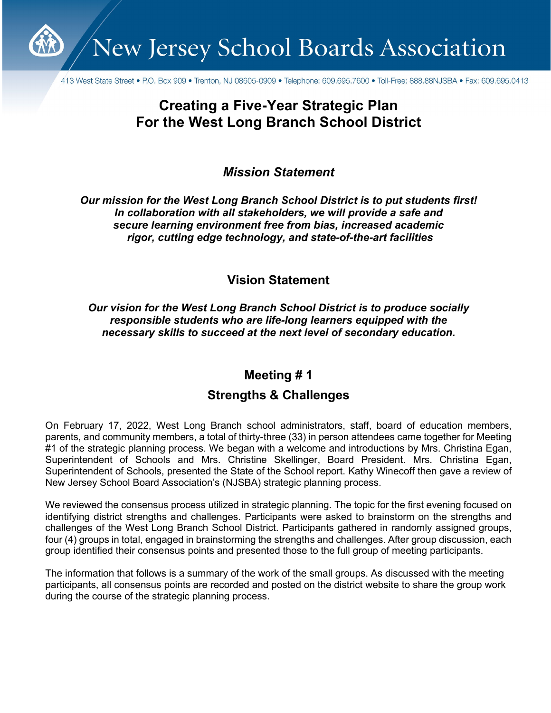New Jersey School Boards Association

413 West State Street • P.O. Box 909 • Trenton, NJ 08605-0909 • Telephone: 609.695.7600 • Toll-Free: 888.88NJSBA • Fax: 609.695.0413

# **Creating a Five-Year Strategic Plan For the West Long Branch School District**

*Mission Statement*

*Our mission for the West Long Branch School District is to put students first! In collaboration with all stakeholders, we will provide a safe and secure learning environment free from bias, increased academic rigor, cutting edge technology, and state-of-the-art facilities*

**Vision Statement**

*Our vision for the West Long Branch School District is to produce socially responsible students who are life-long learners equipped with the necessary skills to succeed at the next level of secondary education.*

## **Meeting # 1**

## **Strengths & Challenges**

On February 17, 2022, West Long Branch school administrators, staff, board of education members, parents, and community members, a total of thirty-three (33) in person attendees came together for Meeting #1 of the strategic planning process. We began with a welcome and introductions by Mrs. Christina Egan, Superintendent of Schools and Mrs. Christine Skellinger, Board President. Mrs. Christina Egan, Superintendent of Schools, presented the State of the School report. Kathy Winecoff then gave a review of New Jersey School Board Association's (NJSBA) strategic planning process.

We reviewed the consensus process utilized in strategic planning. The topic for the first evening focused on identifying district strengths and challenges. Participants were asked to brainstorm on the strengths and challenges of the West Long Branch School District. Participants gathered in randomly assigned groups, four (4) groups in total, engaged in brainstorming the strengths and challenges. After group discussion, each group identified their consensus points and presented those to the full group of meeting participants.

The information that follows is a summary of the work of the small groups. As discussed with the meeting participants, all consensus points are recorded and posted on the district website to share the group work during the course of the strategic planning process.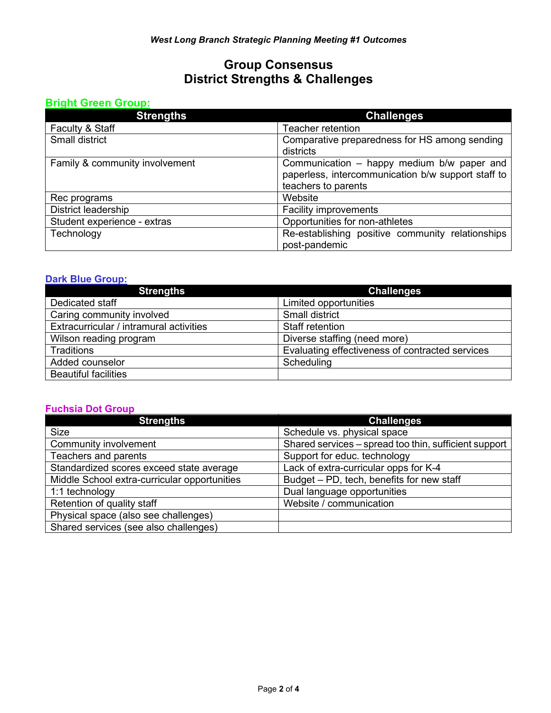## **Group Consensus District Strengths & Challenges**

### **Bright Green Group:**

| <b>Strengths</b>               | <b>Challenges</b>                                                                                                       |
|--------------------------------|-------------------------------------------------------------------------------------------------------------------------|
| Faculty & Staff                | Teacher retention                                                                                                       |
| Small district                 | Comparative preparedness for HS among sending<br>districts                                                              |
| Family & community involvement | Communication - happy medium b/w paper and<br>paperless, intercommunication b/w support staff to<br>teachers to parents |
| Rec programs                   | Website                                                                                                                 |
| District leadership            | <b>Facility improvements</b>                                                                                            |
| Student experience - extras    | Opportunities for non-athletes                                                                                          |
| Technology                     | Re-establishing positive community relationships<br>post-pandemic                                                       |

### **Dark Blue Group:**

| <b>Strengths</b>                        | <b>Challenges</b>                               |
|-----------------------------------------|-------------------------------------------------|
| Dedicated staff                         | Limited opportunities                           |
| Caring community involved               | <b>Small district</b>                           |
| Extracurricular / intramural activities | Staff retention                                 |
| Wilson reading program                  | Diverse staffing (need more)                    |
| <b>Traditions</b>                       | Evaluating effectiveness of contracted services |
| Added counselor                         | Scheduling                                      |
| <b>Beautiful facilities</b>             |                                                 |

#### **Fuchsia Dot Group**

| <b>Strengths</b>                             | <b>Challenges</b>                                     |
|----------------------------------------------|-------------------------------------------------------|
| <b>Size</b>                                  | Schedule vs. physical space                           |
| Community involvement                        | Shared services – spread too thin, sufficient support |
| Teachers and parents                         | Support for educ. technology                          |
| Standardized scores exceed state average     | Lack of extra-curricular opps for K-4                 |
| Middle School extra-curricular opportunities | Budget - PD, tech, benefits for new staff             |
| 1:1 technology                               | Dual language opportunities                           |
| Retention of quality staff                   | Website / communication                               |
| Physical space (also see challenges)         |                                                       |
| Shared services (see also challenges)        |                                                       |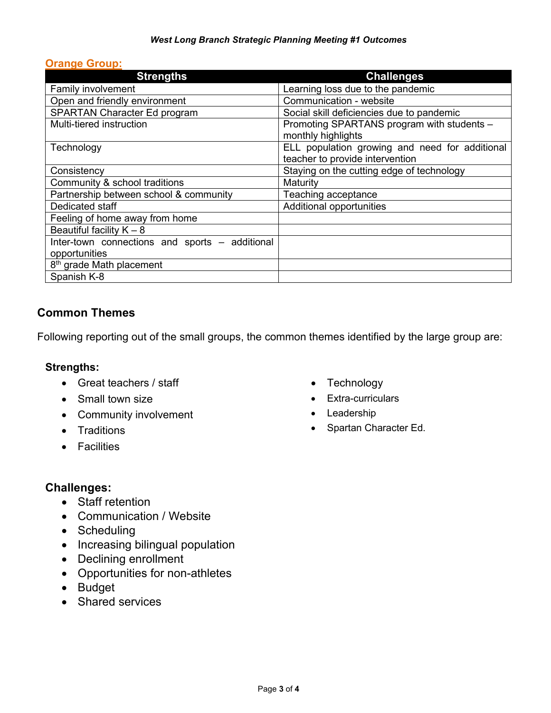#### *West Long Branch Strategic Planning Meeting #1 Outcomes*

#### **Orange Group:**

| <b>Strengths</b>                               | <b>Challenges</b>                                                |
|------------------------------------------------|------------------------------------------------------------------|
| Family involvement                             | Learning loss due to the pandemic                                |
| Open and friendly environment                  | Communication - website                                          |
| SPARTAN Character Ed program                   | Social skill deficiencies due to pandemic                        |
| Multi-tiered instruction                       | Promoting SPARTANS program with students -<br>monthly highlights |
| Technology                                     | ELL population growing and need for additional                   |
|                                                | teacher to provide intervention                                  |
| Consistency                                    | Staying on the cutting edge of technology                        |
| Community & school traditions                  | Maturity                                                         |
| Partnership between school & community         | Teaching acceptance                                              |
| Dedicated staff                                | Additional opportunities                                         |
| Feeling of home away from home                 |                                                                  |
| Beautiful facility $K - 8$                     |                                                                  |
| Inter-town connections and sports – additional |                                                                  |
| opportunities                                  |                                                                  |
| 8 <sup>th</sup> grade Math placement           |                                                                  |
| Spanish K-8                                    |                                                                  |

## **Common Themes**

Following reporting out of the small groups, the common themes identified by the large group are:

#### **Strengths:**

- Great teachers / staff
- Small town size
- Community involvement
- Traditions
- Facilities
- Technology
- Extra-curriculars
- Leadership
- Spartan Character Ed.

## **Challenges:**

- Staff retention
- Communication / Website
- Scheduling
- Increasing bilingual population
- Declining enrollment
- Opportunities for non-athletes
- Budget
- Shared services